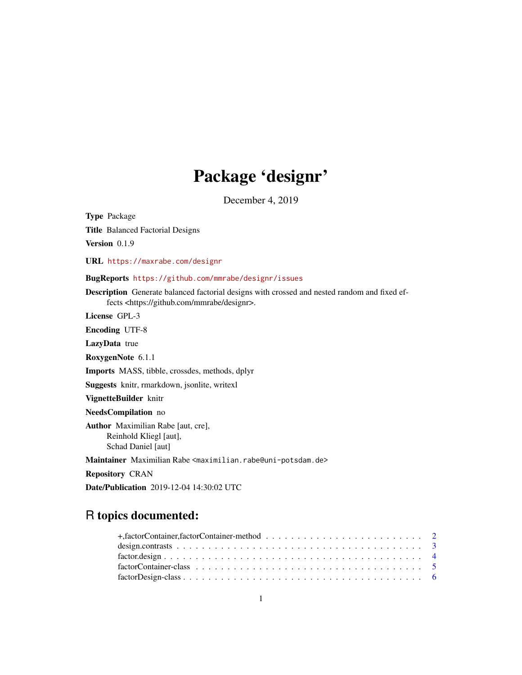# Package 'designr'

December 4, 2019

<span id="page-0-0"></span>Type Package Title Balanced Factorial Designs

Version 0.1.9

URL <https://maxrabe.com/designr>

# BugReports <https://github.com/mmrabe/designr/issues>

Description Generate balanced factorial designs with crossed and nested random and fixed effects <https://github.com/mmrabe/designr>.

License GPL-3

Encoding UTF-8

LazyData true

RoxygenNote 6.1.1

Imports MASS, tibble, crossdes, methods, dplyr

Suggests knitr, rmarkdown, jsonlite, writexl

VignetteBuilder knitr

NeedsCompilation no

Author Maximilian Rabe [aut, cre], Reinhold Kliegl [aut], Schad Daniel [aut]

Maintainer Maximilian Rabe <maximilian.rabe@uni-potsdam.de>

Repository CRAN

Date/Publication 2019-12-04 14:30:02 UTC

# R topics documented:

| +, factor Container, factor Container-method $\ldots \ldots \ldots \ldots \ldots \ldots \ldots \ldots \ldots$ |  |
|---------------------------------------------------------------------------------------------------------------|--|
|                                                                                                               |  |
| $factor. design$                                                                                              |  |
|                                                                                                               |  |
|                                                                                                               |  |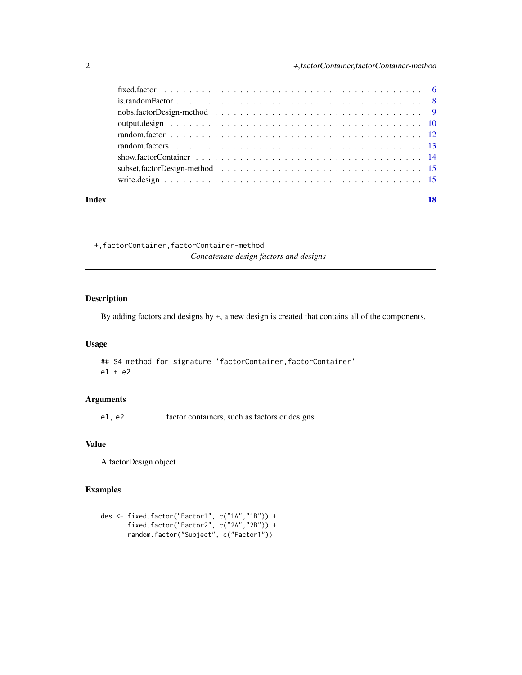<span id="page-1-0"></span>

+,factorContainer,factorContainer-method *Concatenate design factors and designs*

# Description

By adding factors and designs by +, a new design is created that contains all of the components.

## Usage

## S4 method for signature 'factorContainer, factorContainer'  $e1 + e2$ 

# Arguments

e1, e2 factor containers, such as factors or designs

# Value

A factorDesign object

### Examples

```
des <- fixed.factor("Factor1", c("1A","1B")) +
       fixed.factor("Factor2", c("2A","2B")) +
       random.factor("Subject", c("Factor1"))
```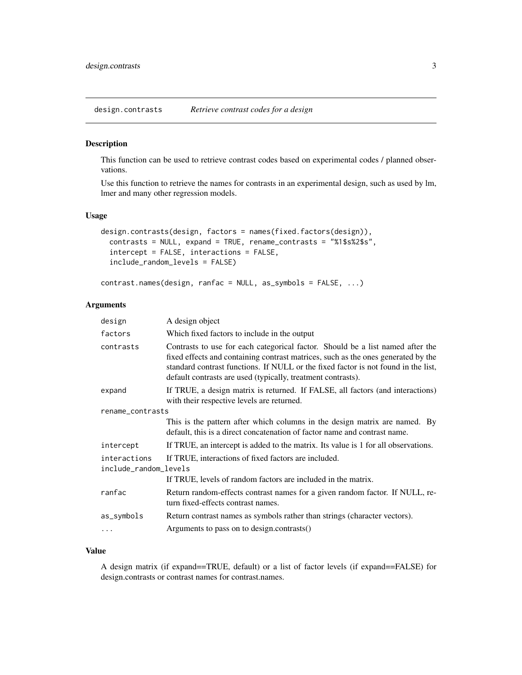<span id="page-2-0"></span>design.contrasts *Retrieve contrast codes for a design*

#### Description

This function can be used to retrieve contrast codes based on experimental codes / planned observations.

Use this function to retrieve the names for contrasts in an experimental design, such as used by lm, lmer and many other regression models.

#### Usage

```
design.contrasts(design, factors = names(fixed.factors(design)),
  contrasts = NULL, expand = TRUE, rename_contrasts = "%1$s%2$s",
  intercept = FALSE, interactions = FALSE,
  include_random_levels = FALSE)
```

```
contrast.names(design, ranfac = NULL, as_symbols = FALSE, ...)
```
# Arguments

| design                | A design object                                                                                                                                                                                                                                                                                                           |
|-----------------------|---------------------------------------------------------------------------------------------------------------------------------------------------------------------------------------------------------------------------------------------------------------------------------------------------------------------------|
| factors               | Which fixed factors to include in the output                                                                                                                                                                                                                                                                              |
| contrasts             | Contrasts to use for each categorical factor. Should be a list named after the<br>fixed effects and containing contrast matrices, such as the ones generated by the<br>standard contrast functions. If NULL or the fixed factor is not found in the list,<br>default contrasts are used (typically, treatment contrasts). |
| expand                | If TRUE, a design matrix is returned. If FALSE, all factors (and interactions)<br>with their respective levels are returned.                                                                                                                                                                                              |
| rename_contrasts      |                                                                                                                                                                                                                                                                                                                           |
|                       | This is the pattern after which columns in the design matrix are named. By<br>default, this is a direct concatenation of factor name and contrast name.                                                                                                                                                                   |
| intercept             | If TRUE, an intercept is added to the matrix. Its value is 1 for all observations.                                                                                                                                                                                                                                        |
| interactions          | If TRUE, interactions of fixed factors are included.                                                                                                                                                                                                                                                                      |
| include_random_levels |                                                                                                                                                                                                                                                                                                                           |
|                       | If TRUE, levels of random factors are included in the matrix.                                                                                                                                                                                                                                                             |
| ranfac                | Return random-effects contrast names for a given random factor. If NULL, re-<br>turn fixed-effects contrast names.                                                                                                                                                                                                        |
| as_symbols            | Return contrast names as symbols rather than strings (character vectors).                                                                                                                                                                                                                                                 |
| $\cdots$              | Arguments to pass on to design.contrasts()                                                                                                                                                                                                                                                                                |

#### Value

A design matrix (if expand==TRUE, default) or a list of factor levels (if expand==FALSE) for design.contrasts or contrast names for contrast.names.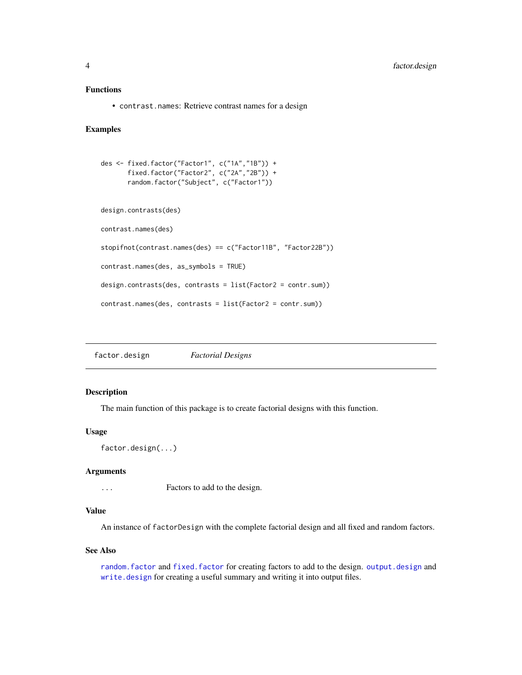### <span id="page-3-0"></span>Functions

• contrast.names: Retrieve contrast names for a design

#### Examples

```
des <- fixed.factor("Factor1", c("1A","1B")) +
      fixed.factor("Factor2", c("2A","2B")) +
      random.factor("Subject", c("Factor1"))
design.contrasts(des)
contrast.names(des)
stopifnot(contrast.names(des) == c("Factor11B", "Factor22B"))
contrast.names(des, as_symbols = TRUE)
design.contrasts(des, contrasts = list(Factor2 = contr.sum))
contrast.names(des, contrasts = list(Factor2 = contr.sum))
```
factor.design *Factorial Designs*

#### Description

The main function of this package is to create factorial designs with this function.

#### Usage

```
factor.design(...)
```
#### Arguments

... Factors to add to the design.

### Value

An instance of factorDesign with the complete factorial design and all fixed and random factors.

#### See Also

[random.factor](#page-11-1) and [fixed.factor](#page-5-1) for creating factors to add to the design. [output.design](#page-9-1) and [write.design](#page-14-1) for creating a useful summary and writing it into output files.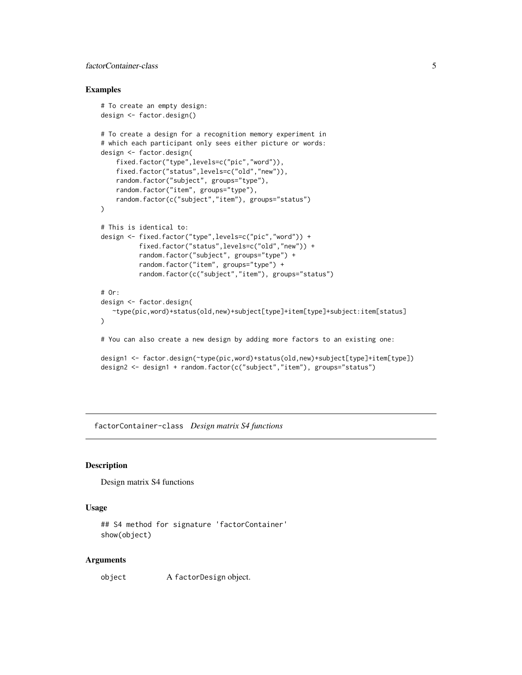# <span id="page-4-0"></span>factorContainer-class 5

#### Examples

```
# To create an empty design:
design <- factor.design()
# To create a design for a recognition memory experiment in
# which each participant only sees either picture or words:
design <- factor.design(
    fixed.factor("type",levels=c("pic","word")),
    fixed.factor("status",levels=c("old","new")),
   random.factor("subject", groups="type"),
   random.factor("item", groups="type"),
   random.factor(c("subject","item"), groups="status")
)
# This is identical to:
design <- fixed.factor("type",levels=c("pic","word")) +
          fixed.factor("status",levels=c("old","new")) +
          random.factor("subject", groups="type") +
          random.factor("item", groups="type") +
          random.factor(c("subject","item"), groups="status")
# Or:
design <- factor.design(
   ~type(pic,word)+status(old,new)+subject[type]+item[type]+subject:item[status]
)
# You can also create a new design by adding more factors to an existing one:
design1 <- factor.design(~type(pic,word)+status(old,new)+subject[type]+item[type])
design2 <- design1 + random.factor(c("subject","item"), groups="status")
```
factorContainer-class *Design matrix S4 functions*

#### **Description**

Design matrix S4 functions

#### Usage

```
## S4 method for signature 'factorContainer'
show(object)
```
#### Arguments

object A factorDesign object.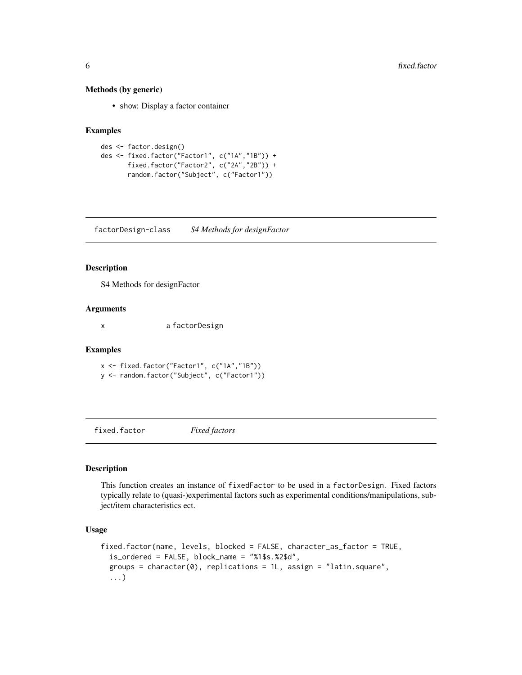# Methods (by generic)

• show: Display a factor container

# Examples

```
des <- factor.design()
des <- fixed.factor("Factor1", c("1A","1B")) +
       fixed.factor("Factor2", c("2A","2B")) +
       random.factor("Subject", c("Factor1"))
```
factorDesign-class *S4 Methods for designFactor*

# Description

S4 Methods for designFactor

# Arguments

x a factorDesign

#### Examples

x <- fixed.factor("Factor1", c("1A","1B")) y <- random.factor("Subject", c("Factor1"))

<span id="page-5-1"></span>fixed.factor *Fixed factors*

# Description

This function creates an instance of fixedFactor to be used in a factorDesign. Fixed factors typically relate to (quasi-)experimental factors such as experimental conditions/manipulations, subject/item characteristics ect.

#### Usage

```
fixed.factor(name, levels, blocked = FALSE, character_as_factor = TRUE,
  is_ordered = FALSE, block_name = "%1$s.%2$d",
  groups = character(0), replications = 1L, assign = "latin.square",
  ...)
```
<span id="page-5-0"></span>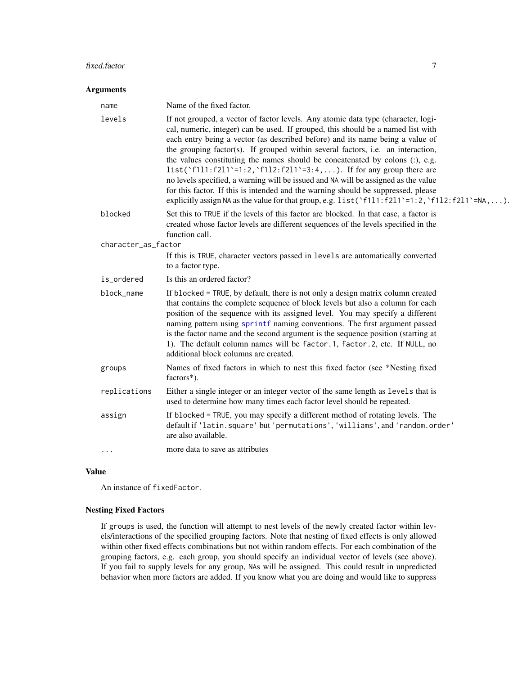#### <span id="page-6-0"></span>fixed.factor 7

#### Arguments

| name                | Name of the fixed factor.                                                                                                                                                                                                                                                                                                                                                                                                                                                                                                                                                                                                                                                                                                                                                      |
|---------------------|--------------------------------------------------------------------------------------------------------------------------------------------------------------------------------------------------------------------------------------------------------------------------------------------------------------------------------------------------------------------------------------------------------------------------------------------------------------------------------------------------------------------------------------------------------------------------------------------------------------------------------------------------------------------------------------------------------------------------------------------------------------------------------|
| levels              | If not grouped, a vector of factor levels. Any atomic data type (character, logi-<br>cal, numeric, integer) can be used. If grouped, this should be a named list with<br>each entry being a vector (as described before) and its name being a value of<br>the grouping factor(s). If grouped within several factors, i.e. an interaction,<br>the values constituting the names should be concatenated by colons (:), e.g.<br>list('f111:f211'=1:2,'f112:f211'=3:4,). If for any group there are<br>no levels specified, a warning will be issued and NA will be assigned as the value<br>for this factor. If this is intended and the warning should be suppressed, please<br>explicitly assign NA as the value for that group, e.g. $list('f111:f211'=1:2,'f112:f211'=NA,)$ . |
| blocked             | Set this to TRUE if the levels of this factor are blocked. In that case, a factor is<br>created whose factor levels are different sequences of the levels specified in the<br>function call.                                                                                                                                                                                                                                                                                                                                                                                                                                                                                                                                                                                   |
| character_as_factor |                                                                                                                                                                                                                                                                                                                                                                                                                                                                                                                                                                                                                                                                                                                                                                                |
|                     | If this is TRUE, character vectors passed in levels are automatically converted<br>to a factor type.                                                                                                                                                                                                                                                                                                                                                                                                                                                                                                                                                                                                                                                                           |
| is_ordered          | Is this an ordered factor?                                                                                                                                                                                                                                                                                                                                                                                                                                                                                                                                                                                                                                                                                                                                                     |
| block_name          | If blocked = TRUE, by default, there is not only a design matrix column created<br>that contains the complete sequence of block levels but also a column for each<br>position of the sequence with its assigned level. You may specify a different<br>naming pattern using sprintf naming conventions. The first argument passed<br>is the factor name and the second argument is the sequence position (starting at<br>1). The default column names will be factor.1, factor.2, etc. If NULL, no<br>additional block columns are created.                                                                                                                                                                                                                                     |
| groups              | Names of fixed factors in which to nest this fixed factor (see *Nesting fixed<br>factors*).                                                                                                                                                                                                                                                                                                                                                                                                                                                                                                                                                                                                                                                                                    |
| replications        | Either a single integer or an integer vector of the same length as levels that is<br>used to determine how many times each factor level should be repeated.                                                                                                                                                                                                                                                                                                                                                                                                                                                                                                                                                                                                                    |
| assign              | If blocked = TRUE, you may specify a different method of rotating levels. The<br>default if 'latin.square' but 'permutations', 'williams', and 'random.order'<br>are also available.                                                                                                                                                                                                                                                                                                                                                                                                                                                                                                                                                                                           |
| $\cdots$            | more data to save as attributes                                                                                                                                                                                                                                                                                                                                                                                                                                                                                                                                                                                                                                                                                                                                                |
|                     |                                                                                                                                                                                                                                                                                                                                                                                                                                                                                                                                                                                                                                                                                                                                                                                |

# Value

An instance of fixedFactor.

# Nesting Fixed Factors

If groups is used, the function will attempt to nest levels of the newly created factor within levels/interactions of the specified grouping factors. Note that nesting of fixed effects is only allowed within other fixed effects combinations but not within random effects. For each combination of the grouping factors, e.g. each group, you should specify an individual vector of levels (see above). If you fail to supply levels for any group, NAs will be assigned. This could result in unpredicted behavior when more factors are added. If you know what you are doing and would like to suppress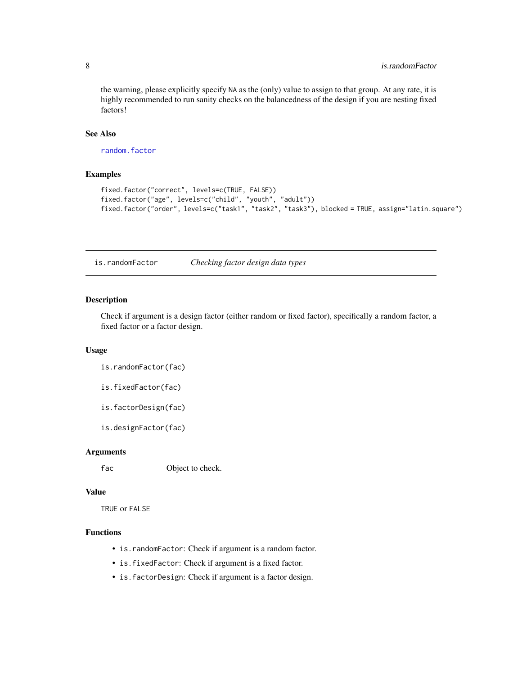the warning, please explicitly specify NA as the (only) value to assign to that group. At any rate, it is highly recommended to run sanity checks on the balancedness of the design if you are nesting fixed factors!

# See Also

[random.factor](#page-11-1)

# Examples

```
fixed.factor("correct", levels=c(TRUE, FALSE))
fixed.factor("age", levels=c("child", "youth", "adult"))
fixed.factor("order", levels=c("task1", "task2", "task3"), blocked = TRUE, assign="latin.square")
```
is.randomFactor *Checking factor design data types*

# Description

Check if argument is a design factor (either random or fixed factor), specifically a random factor, a fixed factor or a factor design.

#### Usage

- is.randomFactor(fac)
- is.fixedFactor(fac)
- is.factorDesign(fac)
- is.designFactor(fac)

#### Arguments

fac Object to check.

# Value

TRUE or FALSE

# Functions

- is.randomFactor: Check if argument is a random factor.
- is.fixedFactor: Check if argument is a fixed factor.
- is.factorDesign: Check if argument is a factor design.

<span id="page-7-0"></span>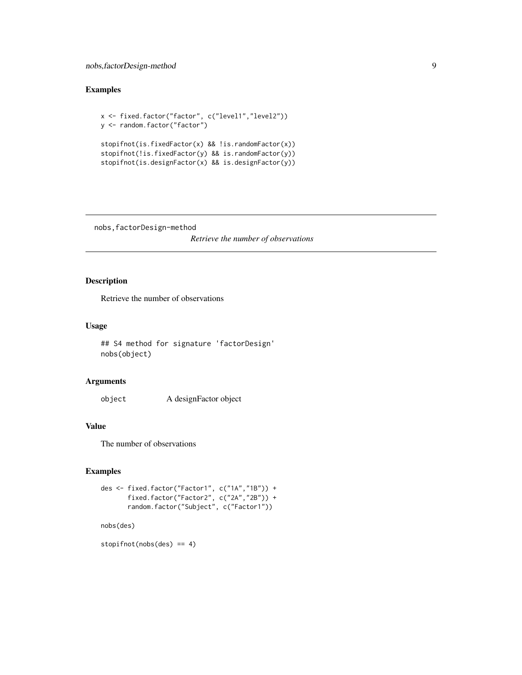# <span id="page-8-0"></span>nobs,factorDesign-method 9

# Examples

```
x <- fixed.factor("factor", c("level1","level2"))
y <- random.factor("factor")
stopifnot(is.fixedFactor(x) && !is.randomFactor(x))
stopifnot(!is.fixedFactor(y) && is.randomFactor(y))
stopifnot(is.designFactor(x) && is.designFactor(y))
```
nobs,factorDesign-method

*Retrieve the number of observations*

# Description

Retrieve the number of observations

#### Usage

## S4 method for signature 'factorDesign' nobs(object)

#### Arguments

object A designFactor object

### Value

The number of observations

# Examples

```
des <- fixed.factor("Factor1", c("1A","1B")) +
      fixed.factor("Factor2", c("2A","2B")) +
      random.factor("Subject", c("Factor1"))
```
nobs(des)

stopifnot(nobs(des) == 4)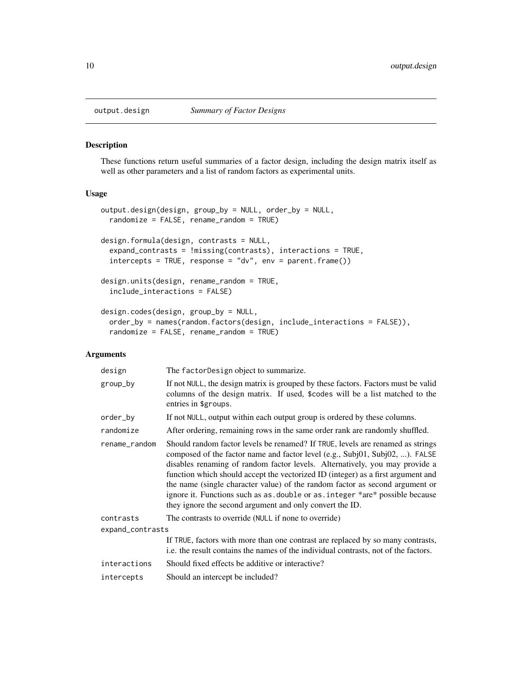<span id="page-9-1"></span><span id="page-9-0"></span>

# <span id="page-9-2"></span>Description

These functions return useful summaries of a factor design, including the design matrix itself as well as other parameters and a list of random factors as experimental units.

#### Usage

```
output.design(design, group_by = NULL, order_by = NULL,
  randomize = FALSE, rename_random = TRUE)
design.formula(design, contrasts = NULL,
 expand_contrasts = !missing(contrasts), interactions = TRUE,
  intercepts = TRUE, response = "dv", env = parent.frame())
design.units(design, rename_random = TRUE,
  include_interactions = FALSE)
design.codes(design, group_by = NULL,
 order_by = names(random.factors(design, include_interactions = FALSE)),
  randomize = FALSE, rename_random = TRUE)
```
# Arguments

| design           | The factorDesign object to summarize.                                                                                                                                                                                                                                                                                                                                                                                                                                                                                                                          |
|------------------|----------------------------------------------------------------------------------------------------------------------------------------------------------------------------------------------------------------------------------------------------------------------------------------------------------------------------------------------------------------------------------------------------------------------------------------------------------------------------------------------------------------------------------------------------------------|
| group_by         | If not NULL, the design matrix is grouped by these factors. Factors must be valid<br>columns of the design matrix. If used, \$codes will be a list matched to the<br>entries in \$groups.                                                                                                                                                                                                                                                                                                                                                                      |
| order_by         | If not NULL, output within each output group is ordered by these columns.                                                                                                                                                                                                                                                                                                                                                                                                                                                                                      |
| randomize        | After ordering, remaining rows in the same order rank are randomly shuffled.                                                                                                                                                                                                                                                                                                                                                                                                                                                                                   |
| rename_random    | Should random factor levels be renamed? If TRUE, levels are renamed as strings<br>composed of the factor name and factor level (e.g., Subj01, Subj02, ). FALSE<br>disables renaming of random factor levels. Alternatively, you may provide a<br>function which should accept the vectorized ID (integer) as a first argument and<br>the name (single character value) of the random factor as second argument or<br>ignore it. Functions such as as double or as . integer *are* possible because<br>they ignore the second argument and only convert the ID. |
| contrasts        | The contrasts to override (NULL if none to override)                                                                                                                                                                                                                                                                                                                                                                                                                                                                                                           |
| expand_contrasts |                                                                                                                                                                                                                                                                                                                                                                                                                                                                                                                                                                |
|                  | If TRUE, factors with more than one contrast are replaced by so many contrasts,<br>i.e. the result contains the names of the individual contrasts, not of the factors.                                                                                                                                                                                                                                                                                                                                                                                         |
| interactions     | Should fixed effects be additive or interactive?                                                                                                                                                                                                                                                                                                                                                                                                                                                                                                               |
| intercepts       | Should an intercept be included?                                                                                                                                                                                                                                                                                                                                                                                                                                                                                                                               |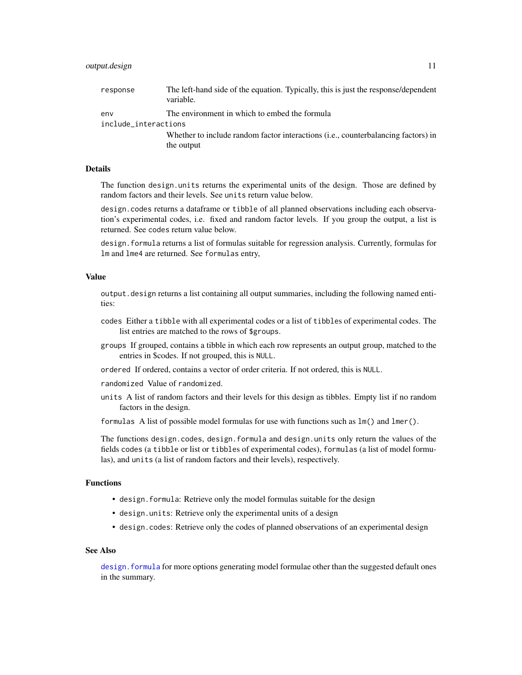#### <span id="page-10-0"></span>output.design 11

| response             | The left-hand side of the equation. Typically, this is just the response/dependent<br>variable. |
|----------------------|-------------------------------------------------------------------------------------------------|
| env                  | The environment in which to embed the formula                                                   |
| include_interactions |                                                                                                 |
|                      | Whether to include random factor interactions ( <i>i.e.</i> , counterbalancing factors) in      |
|                      | the output                                                                                      |

# Details

The function design.units returns the experimental units of the design. Those are defined by random factors and their levels. See units return value below.

design.codes returns a dataframe or tibble of all planned observations including each observation's experimental codes, i.e. fixed and random factor levels. If you group the output, a list is returned. See codes return value below.

design. formula returns a list of formulas suitable for regression analysis. Currently, formulas for lm and lme4 are returned. See formulas entry,

# Value

output.design returns a list containing all output summaries, including the following named entities:

- codes Either a tibble with all experimental codes or a list of tibbles of experimental codes. The list entries are matched to the rows of \$groups.
- groups If grouped, contains a tibble in which each row represents an output group, matched to the entries in \$codes. If not grouped, this is NULL.
- ordered If ordered, contains a vector of order criteria. If not ordered, this is NULL.
- randomized Value of randomized.
- units A list of random factors and their levels for this design as tibbles. Empty list if no random factors in the design.
- formulas A list of possible model formulas for use with functions such as lm() and lmer().

The functions design.codes, design.formula and design.units only return the values of the fields codes (a tibble or list or tibbles of experimental codes), formulas (a list of model formulas), and units (a list of random factors and their levels), respectively.

# Functions

- design.formula: Retrieve only the model formulas suitable for the design
- design.units: Retrieve only the experimental units of a design
- design.codes: Retrieve only the codes of planned observations of an experimental design

#### See Also

design. formula for more options generating model formulae other than the suggested default ones in the summary.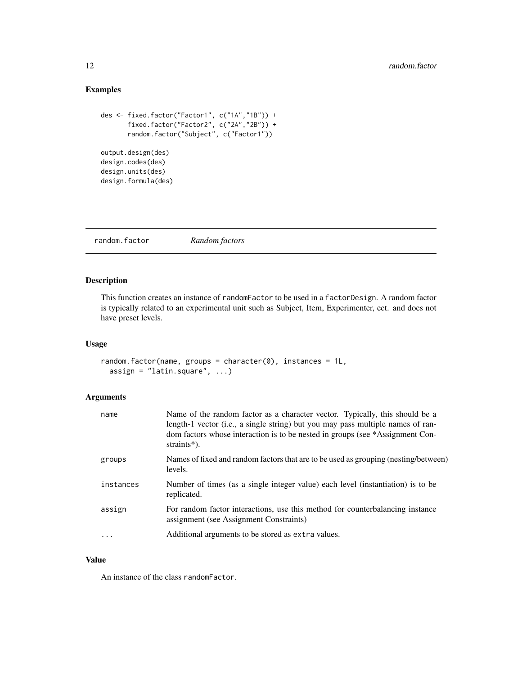# <span id="page-11-0"></span>Examples

```
des <- fixed.factor("Factor1", c("1A","1B")) +
       fixed.factor("Factor2", c("2A","2B")) +
       random.factor("Subject", c("Factor1"))
output.design(des)
design.codes(des)
design.units(des)
design.formula(des)
```
<span id="page-11-1"></span>random.factor *Random factors*

# Description

This function creates an instance of randomFactor to be used in a factorDesign. A random factor is typically related to an experimental unit such as Subject, Item, Experimenter, ect. and does not have preset levels.

#### Usage

```
random.factor(name, groups = character(0), instances = 1L,
  assign = "latin.\squareguare", ...)
```
# Arguments

| name      | Name of the random factor as a character vector. Typically, this should be a<br>length-1 vector (i.e., a single string) but you may pass multiple names of ran-<br>dom factors whose interaction is to be nested in groups (see *Assignment Con-<br>straints*). |
|-----------|-----------------------------------------------------------------------------------------------------------------------------------------------------------------------------------------------------------------------------------------------------------------|
| groups    | Names of fixed and random factors that are to be used as grouping (nesting/between)<br>levels.                                                                                                                                                                  |
| instances | Number of times (as a single integer value) each level (instantiation) is to be<br>replicated.                                                                                                                                                                  |
| assign    | For random factor interactions, use this method for counterbalancing instance<br>assignment (see Assignment Constraints)                                                                                                                                        |
| .         | Additional arguments to be stored as extra values.                                                                                                                                                                                                              |

#### Value

An instance of the class randomFactor.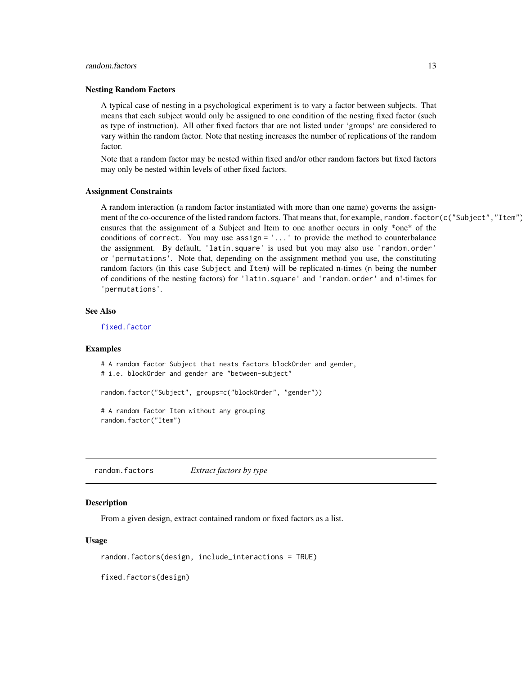#### <span id="page-12-0"></span>random.factors and 13

#### Nesting Random Factors

A typical case of nesting in a psychological experiment is to vary a factor between subjects. That means that each subject would only be assigned to one condition of the nesting fixed factor (such as type of instruction). All other fixed factors that are not listed under 'groups' are considered to vary within the random factor. Note that nesting increases the number of replications of the random factor.

Note that a random factor may be nested within fixed and/or other random factors but fixed factors may only be nested within levels of other fixed factors.

#### Assignment Constraints

A random interaction (a random factor instantiated with more than one name) governs the assignment of the co-occurence of the listed random factors. That means that, for example, random. factor(c("Subject", "Item") ensures that the assignment of a Subject and Item to one another occurs in only \*one\* of the conditions of correct. You may use assign = '...' to provide the method to counterbalance the assignment. By default, 'latin.square' is used but you may also use 'random.order' or 'permutations'. Note that, depending on the assignment method you use, the constituting random factors (in this case Subject and Item) will be replicated n-times (n being the number of conditions of the nesting factors) for 'latin.square' and 'random.order' and n!-times for 'permutations'.

### See Also

[fixed.factor](#page-5-1)

#### Examples

```
# A random factor Subject that nests factors blockOrder and gender,
# i.e. blockOrder and gender are "between-subject"
random.factor("Subject", groups=c("blockOrder", "gender"))
# A random factor Item without any grouping
random.factor("Item")
```
random.factors *Extract factors by type*

#### Description

From a given design, extract contained random or fixed factors as a list.

#### Usage

random.factors(design, include\_interactions = TRUE)

fixed.factors(design)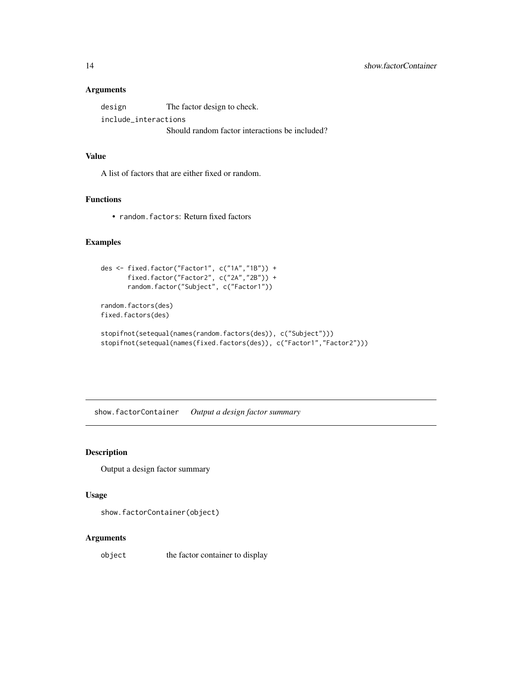# <span id="page-13-0"></span>Arguments

design The factor design to check. include\_interactions Should random factor interactions be included?

#### Value

A list of factors that are either fixed or random.

# Functions

• random.factors: Return fixed factors

# Examples

```
des <- fixed.factor("Factor1", c("1A","1B")) +
      fixed.factor("Factor2", c("2A","2B")) +
      random.factor("Subject", c("Factor1"))
random.factors(des)
fixed.factors(des)
```

```
stopifnot(setequal(names(random.factors(des)), c("Subject")))
stopifnot(setequal(names(fixed.factors(des)), c("Factor1","Factor2")))
```
show.factorContainer *Output a design factor summary*

#### Description

Output a design factor summary

#### Usage

```
show.factorContainer(object)
```
#### Arguments

object the factor container to display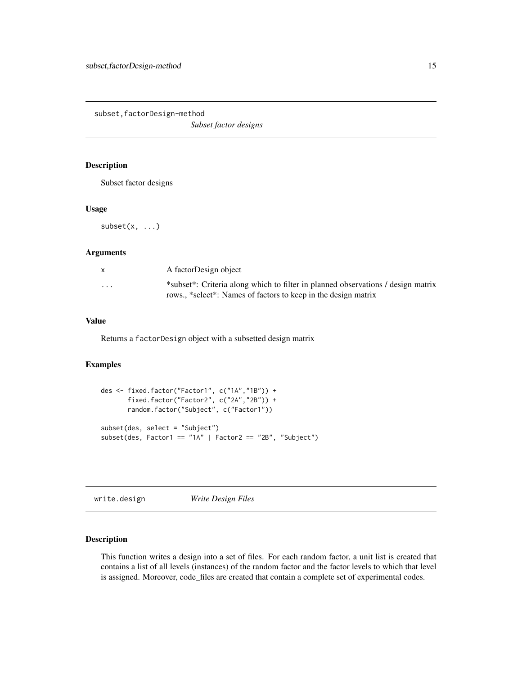<span id="page-14-0"></span>subset,factorDesign-method

*Subset factor designs*

# Description

Subset factor designs

#### Usage

 $subset(x, \ldots)$ 

#### Arguments

|          | A factorDesign object                                                                                                                              |
|----------|----------------------------------------------------------------------------------------------------------------------------------------------------|
| $\cdots$ | *subset*: Criteria along which to filter in planned observations / design matrix<br>rows., *select*: Names of factors to keep in the design matrix |

#### Value

Returns a factorDesign object with a subsetted design matrix

## Examples

```
des <- fixed.factor("Factor1", c("1A","1B")) +
       fixed.factor("Factor2", c("2A","2B")) +
       random.factor("Subject", c("Factor1"))
subset(des, select = "Subject")
subset(des, Factor1 == "1A" | Factor2 == "2B", "Subject")
```
<span id="page-14-1"></span>write.design *Write Design Files*

#### Description

This function writes a design into a set of files. For each random factor, a unit list is created that contains a list of all levels (instances) of the random factor and the factor levels to which that level is assigned. Moreover, code\_files are created that contain a complete set of experimental codes.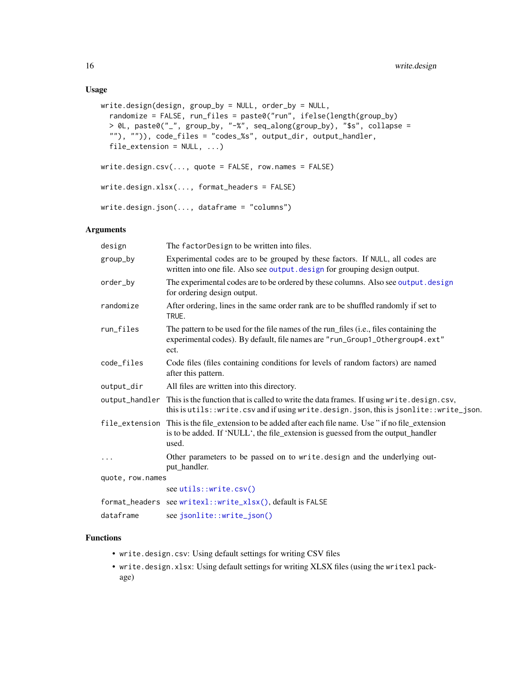# <span id="page-15-0"></span>Usage

```
write.design(design, group_by = NULL, order_by = NULL,
  randomize = FALSE, run_files = paste0("run", ifelse(length(group_by)
 > 0L, paste0("_", group_by, "-%", seq_along(group_by), "$s", collapse =
  ""), "")), code_files = "codes_%s", output_dir, output_handler,
  file\_extension = NULL, ...write.design.csv(..., quote = FALSE, row.names = FALSE)
write.design.xlsx(..., format_headers = FALSE)
write.design.json(..., dataframe = "columns")
```
# Arguments

| design           | The factorDesign to be written into files.                                                                                                                                            |
|------------------|---------------------------------------------------------------------------------------------------------------------------------------------------------------------------------------|
| group_by         | Experimental codes are to be grouped by these factors. If NULL, all codes are<br>written into one file. Also see output.design for grouping design output.                            |
| order_by         | The experimental codes are to be ordered by these columns. Also see output. design<br>for ordering design output.                                                                     |
| randomize        | After ordering, lines in the same order rank are to be shuffled randomly if set to<br>TRUE.                                                                                           |
| run files        | The pattern to be used for the file names of the run_files (i.e., files containing the<br>experimental codes). By default, file names are "run_Group1_0thergroup4.ext"<br>ect.        |
| code_files       | Code files (files containing conditions for levels of random factors) are named<br>after this pattern.                                                                                |
| output_dir       | All files are written into this directory.                                                                                                                                            |
| output_handler   | This is the function that is called to write the data frames. If using write . design. csv,<br>this is utils::write.csv and if using write.design.json, this is jsonlite::write_json. |
| file_extension   | This is the file_extension to be added after each file name. Use " if no file_extension<br>is to be added. If 'NULL', the file_extension is guessed from the output_handler<br>used.  |
| $\cdots$         | Other parameters to be passed on to write.design and the underlying out-<br>put_handler.                                                                                              |
| quote, row.names |                                                                                                                                                                                       |
|                  | see utils::write.csv()                                                                                                                                                                |
|                  | format_headers see writexl::write_xlsx(), default is FALSE                                                                                                                            |
| dataframe        | see jsonlite::write_json()                                                                                                                                                            |

#### Functions

- write.design.csv: Using default settings for writing CSV files
- write.design.xlsx: Using default settings for writing XLSX files (using the writexl package)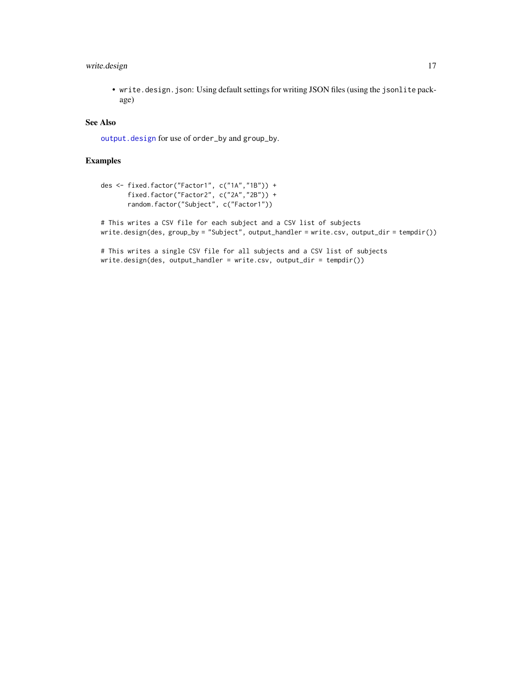# <span id="page-16-0"></span>write.design 17

• write.design.json: Using default settings for writing JSON files (using the jsonlite package)

# See Also

[output.design](#page-9-1) for use of order\_by and group\_by.

# Examples

```
des <- fixed.factor("Factor1", c("1A","1B")) +
       fixed.factor("Factor2", c("2A","2B")) +
       random.factor("Subject", c("Factor1"))
# This writes a CSV file for each subject and a CSV list of subjects
write.design(des, group_by = "Subject", output_handler = write.csv, output_dir = tempdir())
# This writes a single CSV file for all subjects and a CSV list of subjects
```
 $write.design(des, output\_handler = write.csv, output\_dir = tempdir())$